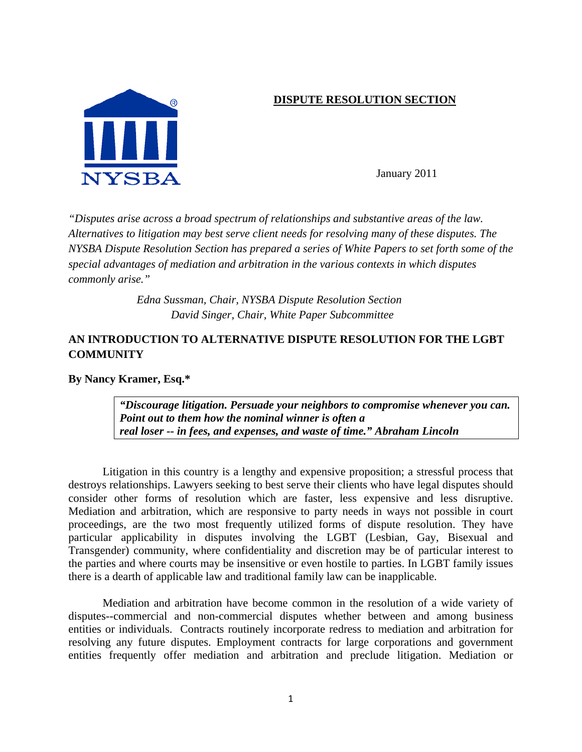# **DISPUTE RESOLUTION SECTION**



January 2011

*"Disputes arise across a broad spectrum of relationships and substantive areas of the law. Alternatives to litigation may best serve client needs for resolving many of these disputes. The NYSBA Dispute Resolution Section has prepared a series of White Papers to set forth some of the special advantages of mediation and arbitration in the various contexts in which disputes commonly arise."* 

> *Edna Sussman, Chair, NYSBA Dispute Resolution Section David Singer, Chair, White Paper Subcommittee*

# **AN INTRODUCTION TO ALTERNATIVE DISPUTE RESOLUTION FOR THE LGBT COMMUNITY**

**By Nancy Kramer, Esq.\*** 

*"Discourage litigation. Persuade your neighbors to compromise whenever you can. Point out to them how the nominal winner is often a real loser -- in fees, and expenses, and waste of time." Abraham Lincoln* 

Litigation in this country is a lengthy and expensive proposition; a stressful process that destroys relationships. Lawyers seeking to best serve their clients who have legal disputes should consider other forms of resolution which are faster, less expensive and less disruptive. Mediation and arbitration, which are responsive to party needs in ways not possible in court proceedings, are the two most frequently utilized forms of dispute resolution. They have particular applicability in disputes involving the LGBT (Lesbian, Gay, Bisexual and Transgender) community, where confidentiality and discretion may be of particular interest to the parties and where courts may be insensitive or even hostile to parties. In LGBT family issues there is a dearth of applicable law and traditional family law can be inapplicable.

Mediation and arbitration have become common in the resolution of a wide variety of disputes--commercial and non-commercial disputes whether between and among business entities or individuals. Contracts routinely incorporate redress to mediation and arbitration for resolving any future disputes. Employment contracts for large corporations and government entities frequently offer mediation and arbitration and preclude litigation. Mediation or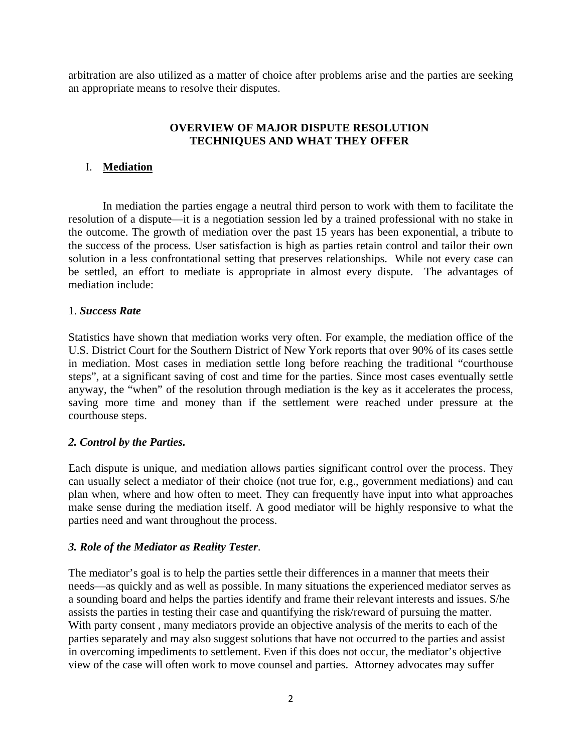arbitration are also utilized as a matter of choice after problems arise and the parties are seeking an appropriate means to resolve their disputes.

#### **OVERVIEW OF MAJOR DISPUTE RESOLUTION TECHNIQUES AND WHAT THEY OFFER**

#### I. **Mediation**

 In mediation the parties engage a neutral third person to work with them to facilitate the resolution of a dispute—it is a negotiation session led by a trained professional with no stake in the outcome. The growth of mediation over the past 15 years has been exponential, a tribute to the success of the process. User satisfaction is high as parties retain control and tailor their own solution in a less confrontational setting that preserves relationships. While not every case can be settled, an effort to mediate is appropriate in almost every dispute. The advantages of mediation include:

#### 1. *Success Rate*

Statistics have shown that mediation works very often. For example, the mediation office of the U.S. District Court for the Southern District of New York reports that over 90% of its cases settle in mediation. Most cases in mediation settle long before reaching the traditional "courthouse steps", at a significant saving of cost and time for the parties. Since most cases eventually settle anyway, the "when" of the resolution through mediation is the key as it accelerates the process, saving more time and money than if the settlement were reached under pressure at the courthouse steps.

#### *2. Control by the Parties.*

Each dispute is unique, and mediation allows parties significant control over the process. They can usually select a mediator of their choice (not true for, e.g., government mediations) and can plan when, where and how often to meet. They can frequently have input into what approaches make sense during the mediation itself. A good mediator will be highly responsive to what the parties need and want throughout the process.

#### *3. Role of the Mediator as Reality Tester*.

The mediator's goal is to help the parties settle their differences in a manner that meets their needs—as quickly and as well as possible. In many situations the experienced mediator serves as a sounding board and helps the parties identify and frame their relevant interests and issues. S/he assists the parties in testing their case and quantifying the risk/reward of pursuing the matter. With party consent , many mediators provide an objective analysis of the merits to each of the parties separately and may also suggest solutions that have not occurred to the parties and assist in overcoming impediments to settlement. Even if this does not occur, the mediator's objective view of the case will often work to move counsel and parties. Attorney advocates may suffer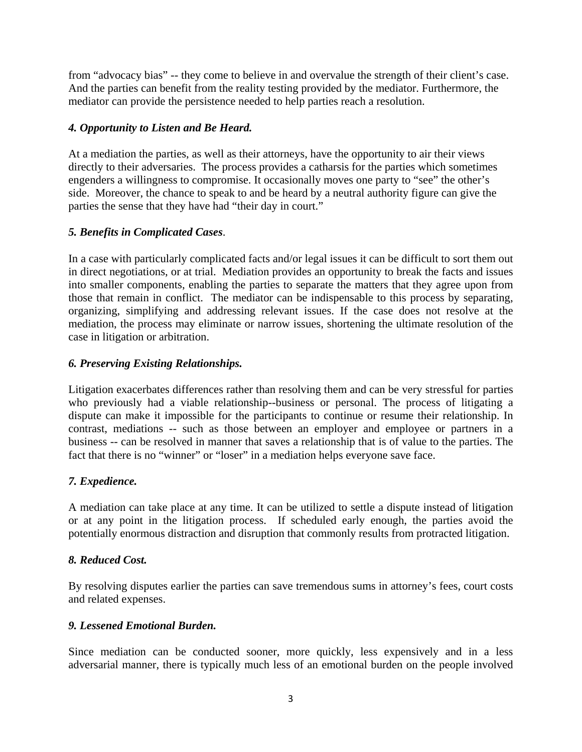from "advocacy bias" -- they come to believe in and overvalue the strength of their client's case. And the parties can benefit from the reality testing provided by the mediator. Furthermore, the mediator can provide the persistence needed to help parties reach a resolution.

# *4. Opportunity to Listen and Be Heard.*

At a mediation the parties, as well as their attorneys, have the opportunity to air their views directly to their adversaries. The process provides a catharsis for the parties which sometimes engenders a willingness to compromise. It occasionally moves one party to "see" the other's side. Moreover, the chance to speak to and be heard by a neutral authority figure can give the parties the sense that they have had "their day in court."

# *5. Benefits in Complicated Cases*.

In a case with particularly complicated facts and/or legal issues it can be difficult to sort them out in direct negotiations, or at trial. Mediation provides an opportunity to break the facts and issues into smaller components, enabling the parties to separate the matters that they agree upon from those that remain in conflict. The mediator can be indispensable to this process by separating, organizing, simplifying and addressing relevant issues. If the case does not resolve at the mediation, the process may eliminate or narrow issues, shortening the ultimate resolution of the case in litigation or arbitration.

# *6. Preserving Existing Relationships.*

Litigation exacerbates differences rather than resolving them and can be very stressful for parties who previously had a viable relationship--business or personal. The process of litigating a dispute can make it impossible for the participants to continue or resume their relationship. In contrast, mediations -- such as those between an employer and employee or partners in a business -- can be resolved in manner that saves a relationship that is of value to the parties. The fact that there is no "winner" or "loser" in a mediation helps everyone save face.

## *7. Expedience.*

A mediation can take place at any time. It can be utilized to settle a dispute instead of litigation or at any point in the litigation process. If scheduled early enough, the parties avoid the potentially enormous distraction and disruption that commonly results from protracted litigation.

## *8. Reduced Cost.*

By resolving disputes earlier the parties can save tremendous sums in attorney's fees, court costs and related expenses.

## *9. Lessened Emotional Burden.*

Since mediation can be conducted sooner, more quickly, less expensively and in a less adversarial manner, there is typically much less of an emotional burden on the people involved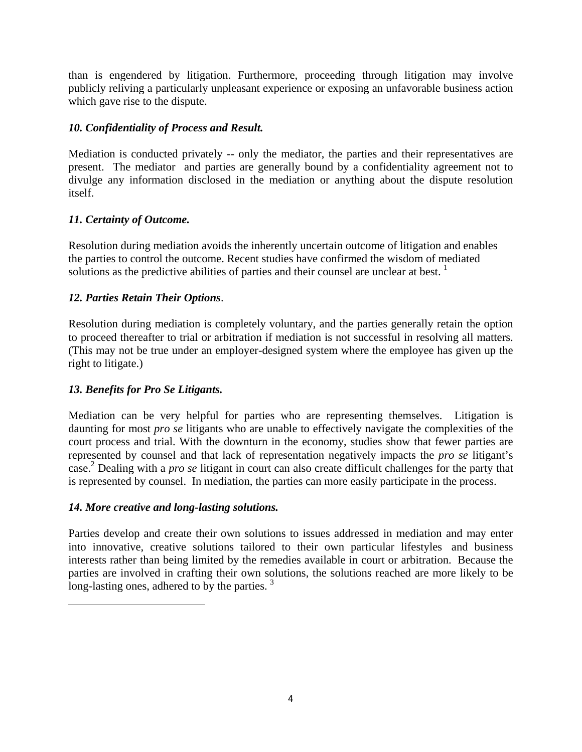than is engendered by litigation. Furthermore, proceeding through litigation may involve publicly reliving a particularly unpleasant experience or exposing an unfavorable business action which gave rise to the dispute.

# *10. Confidentiality of Process and Result.*

Mediation is conducted privately -- only the mediator, the parties and their representatives are present. The mediator and parties are generally bound by a confidentiality agreement not to divulge any information disclosed in the mediation or anything about the dispute resolution itself.

# *11. Certainty of Outcome.*

Resolution during mediation avoids the inherently uncertain outcome of litigation and enables the parties to control the outcome. Recent studies have confirmed the wisdom of mediated solutions as the predictive abilities of parties and their counsel are unclear at best.  $<sup>1</sup>$ </sup>

# *12. Parties Retain Their Options*.

Resolution during mediation is completely voluntary, and the parties generally retain the option to proceed thereafter to trial or arbitration if mediation is not successful in resolving all matters. (This may not be true under an employer-designed system where the employee has given up the right to litigate.)

## *13. Benefits for Pro Se Litigants.*

Mediation can be very helpful for parties who are representing themselves. Litigation is daunting for most *pro se* litigants who are unable to effectively navigate the complexities of the court process and trial. With the downturn in the economy, studies show that fewer parties are represented by counsel and that lack of representation negatively impacts the *pro se* litigant's case. 2 Dealing with a *pro se* litigant in court can also create difficult challenges for the party that is represented by counsel. In mediation, the parties can more easily participate in the process.

## *14. More creative and long-lasting solutions.*

Parties develop and create their own solutions to issues addressed in mediation and may enter into innovative, creative solutions tailored to their own particular lifestyles and business interests rather than being limited by the remedies available in court or arbitration. Because the parties are involved in crafting their own solutions, the solutions reached are more likely to be long-lasting ones, adhered to by the parties.<sup>3</sup>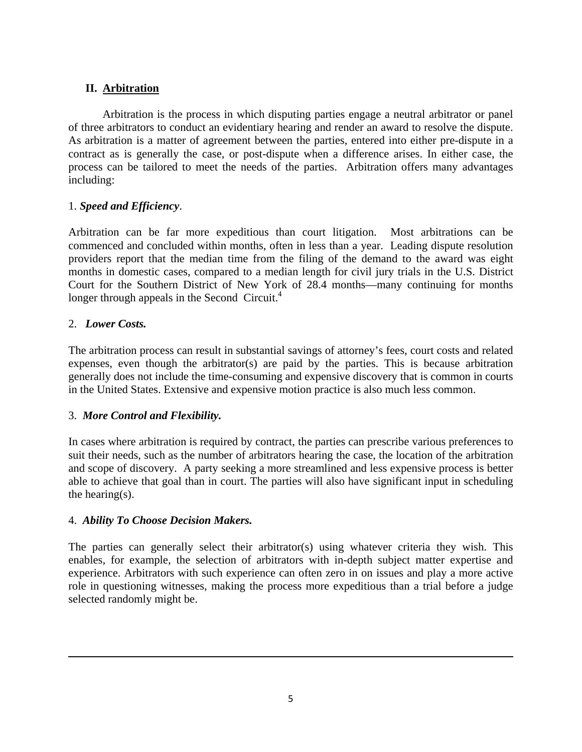# **II. Arbitration**

Arbitration is the process in which disputing parties engage a neutral arbitrator or panel of three arbitrators to conduct an evidentiary hearing and render an award to resolve the dispute. As arbitration is a matter of agreement between the parties, entered into either pre-dispute in a contract as is generally the case, or post-dispute when a difference arises. In either case, the process can be tailored to meet the needs of the parties. Arbitration offers many advantages including:

## 1. *Speed and Efficiency*.

Arbitration can be far more expeditious than court litigation. Most arbitrations can be commenced and concluded within months, often in less than a year. Leading dispute resolution providers report that the median time from the filing of the demand to the award was eight months in domestic cases, compared to a median length for civil jury trials in the U.S. District Court for the Southern District of New York of 28.4 months—many continuing for months longer through appeals in the Second Circuit.<sup>4</sup>

# 2. *Lower Costs.*

The arbitration process can result in substantial savings of attorney's fees, court costs and related expenses, even though the arbitrator(s) are paid by the parties. This is because arbitration generally does not include the time-consuming and expensive discovery that is common in courts in the United States. Extensive and expensive motion practice is also much less common.

## 3. *More Control and Flexibility.*

In cases where arbitration is required by contract, the parties can prescribe various preferences to suit their needs, such as the number of arbitrators hearing the case, the location of the arbitration and scope of discovery. A party seeking a more streamlined and less expensive process is better able to achieve that goal than in court. The parties will also have significant input in scheduling the hearing(s).

## 4. *Ability To Choose Decision Makers.*

The parties can generally select their arbitrator(s) using whatever criteria they wish. This enables, for example, the selection of arbitrators with in-depth subject matter expertise and experience. Arbitrators with such experience can often zero in on issues and play a more active role in questioning witnesses, making the process more expeditious than a trial before a judge selected randomly might be.

<u> 1989 - Johann Stoff, amerikansk politiker (d. 1989)</u>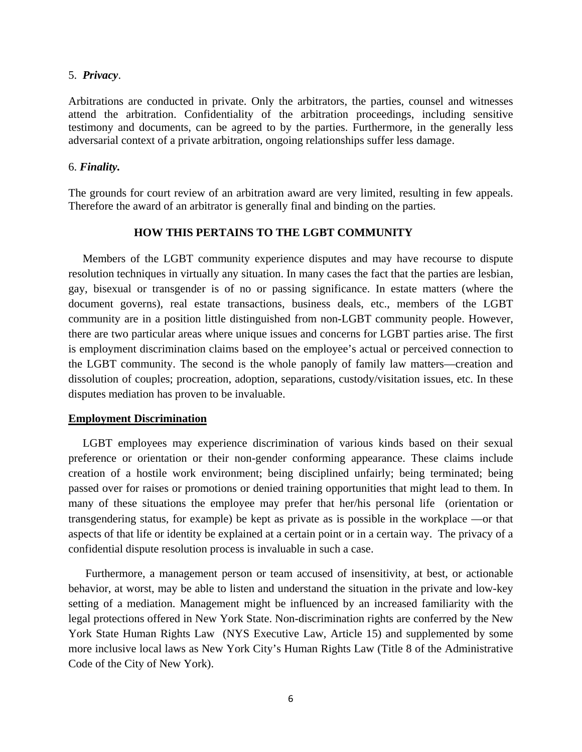#### 5. *Privacy*.

Arbitrations are conducted in private. Only the arbitrators, the parties, counsel and witnesses attend the arbitration. Confidentiality of the arbitration proceedings, including sensitive testimony and documents, can be agreed to by the parties. Furthermore, in the generally less adversarial context of a private arbitration, ongoing relationships suffer less damage.

#### 6. *Finality.*

The grounds for court review of an arbitration award are very limited, resulting in few appeals. Therefore the award of an arbitrator is generally final and binding on the parties.

#### **HOW THIS PERTAINS TO THE LGBT COMMUNITY**

Members of the LGBT community experience disputes and may have recourse to dispute resolution techniques in virtually any situation. In many cases the fact that the parties are lesbian, gay, bisexual or transgender is of no or passing significance. In estate matters (where the document governs), real estate transactions, business deals, etc., members of the LGBT community are in a position little distinguished from non-LGBT community people. However, there are two particular areas where unique issues and concerns for LGBT parties arise. The first is employment discrimination claims based on the employee's actual or perceived connection to the LGBT community. The second is the whole panoply of family law matters—creation and dissolution of couples; procreation, adoption, separations, custody/visitation issues, etc. In these disputes mediation has proven to be invaluable.

#### **Employment Discrimination**

 LGBT employees may experience discrimination of various kinds based on their sexual preference or orientation or their non-gender conforming appearance. These claims include creation of a hostile work environment; being disciplined unfairly; being terminated; being passed over for raises or promotions or denied training opportunities that might lead to them. In many of these situations the employee may prefer that her/his personal life (orientation or transgendering status, for example) be kept as private as is possible in the workplace —or that aspects of that life or identity be explained at a certain point or in a certain way. The privacy of a confidential dispute resolution process is invaluable in such a case.

 Furthermore, a management person or team accused of insensitivity, at best, or actionable behavior, at worst, may be able to listen and understand the situation in the private and low-key setting of a mediation. Management might be influenced by an increased familiarity with the legal protections offered in New York State. Non-discrimination rights are conferred by the New York State Human Rights Law (NYS Executive Law, Article 15) and supplemented by some more inclusive local laws as New York City's Human Rights Law (Title 8 of the Administrative Code of the City of New York).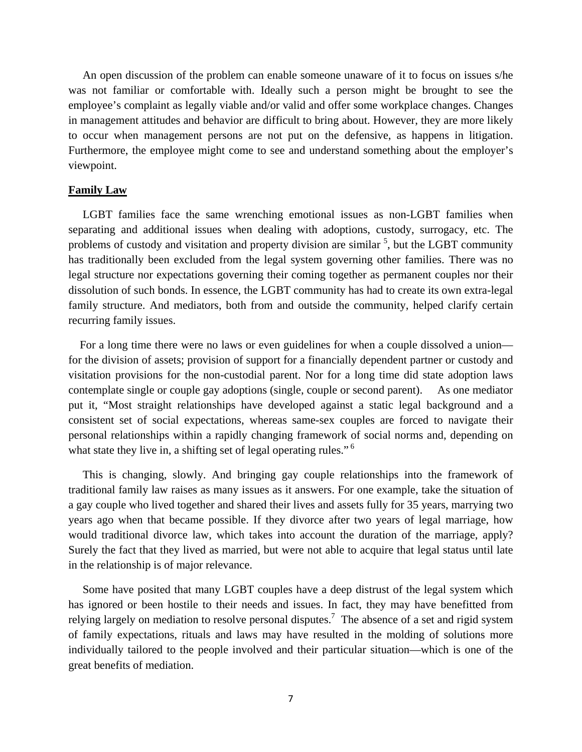An open discussion of the problem can enable someone unaware of it to focus on issues s/he was not familiar or comfortable with. Ideally such a person might be brought to see the employee's complaint as legally viable and/or valid and offer some workplace changes. Changes in management attitudes and behavior are difficult to bring about. However, they are more likely to occur when management persons are not put on the defensive, as happens in litigation. Furthermore, the employee might come to see and understand something about the employer's viewpoint.

#### **Family Law**

 LGBT families face the same wrenching emotional issues as non-LGBT families when separating and additional issues when dealing with adoptions, custody, surrogacy, etc. The problems of custody and visitation and property division are similar  $<sup>5</sup>$ , but the LGBT community</sup> has traditionally been excluded from the legal system governing other families. There was no legal structure nor expectations governing their coming together as permanent couples nor their dissolution of such bonds. In essence, the LGBT community has had to create its own extra-legal family structure. And mediators, both from and outside the community, helped clarify certain recurring family issues.

 For a long time there were no laws or even guidelines for when a couple dissolved a union for the division of assets; provision of support for a financially dependent partner or custody and visitation provisions for the non-custodial parent. Nor for a long time did state adoption laws contemplate single or couple gay adoptions (single, couple or second parent). As one mediator put it, "Most straight relationships have developed against a static legal background and a consistent set of social expectations, whereas same-sex couples are forced to navigate their personal relationships within a rapidly changing framework of social norms and, depending on what state they live in, a shifting set of legal operating rules."<sup>6</sup>

 This is changing, slowly. And bringing gay couple relationships into the framework of traditional family law raises as many issues as it answers. For one example, take the situation of a gay couple who lived together and shared their lives and assets fully for 35 years, marrying two years ago when that became possible. If they divorce after two years of legal marriage, how would traditional divorce law, which takes into account the duration of the marriage, apply? Surely the fact that they lived as married, but were not able to acquire that legal status until late in the relationship is of major relevance.

 Some have posited that many LGBT couples have a deep distrust of the legal system which has ignored or been hostile to their needs and issues. In fact, they may have benefitted from relying largely on mediation to resolve personal disputes.<sup>7</sup> The absence of a set and rigid system of family expectations, rituals and laws may have resulted in the molding of solutions more individually tailored to the people involved and their particular situation—which is one of the great benefits of mediation.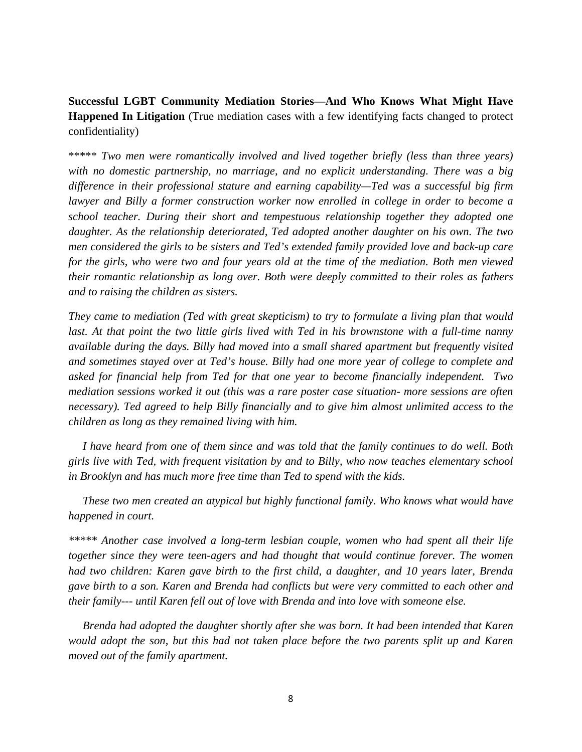**Successful LGBT Community Mediation Stories—And Who Knows What Might Have Happened In Litigation** (True mediation cases with a few identifying facts changed to protect confidentiality)

\*\*\*\*\* *Two men were romantically involved and lived together briefly (less than three years) with no domestic partnership, no marriage, and no explicit understanding. There was a big difference in their professional stature and earning capability—Ted was a successful big firm lawyer and Billy a former construction worker now enrolled in college in order to become a school teacher. During their short and tempestuous relationship together they adopted one daughter. As the relationship deteriorated, Ted adopted another daughter on his own. The two men considered the girls to be sisters and Ted's extended family provided love and back-up care for the girls, who were two and four years old at the time of the mediation. Both men viewed their romantic relationship as long over. Both were deeply committed to their roles as fathers and to raising the children as sisters.* 

*They came to mediation (Ted with great skepticism) to try to formulate a living plan that would*  last. At that point the two little girls lived with Ted in his brownstone with a full-time nanny *available during the days. Billy had moved into a small shared apartment but frequently visited and sometimes stayed over at Ted's house. Billy had one more year of college to complete and asked for financial help from Ted for that one year to become financially independent. Two mediation sessions worked it out (this was a rare poster case situation- more sessions are often necessary). Ted agreed to help Billy financially and to give him almost unlimited access to the children as long as they remained living with him.* 

 *I have heard from one of them since and was told that the family continues to do well. Both girls live with Ted, with frequent visitation by and to Billy, who now teaches elementary school in Brooklyn and has much more free time than Ted to spend with the kids.* 

 *These two men created an atypical but highly functional family. Who knows what would have happened in court.* 

*\*\*\*\*\* Another case involved a long-term lesbian couple, women who had spent all their life together since they were teen-agers and had thought that would continue forever. The women had two children: Karen gave birth to the first child, a daughter, and 10 years later, Brenda gave birth to a son. Karen and Brenda had conflicts but were very committed to each other and their family--- until Karen fell out of love with Brenda and into love with someone else.* 

 *Brenda had adopted the daughter shortly after she was born. It had been intended that Karen would adopt the son, but this had not taken place before the two parents split up and Karen moved out of the family apartment.*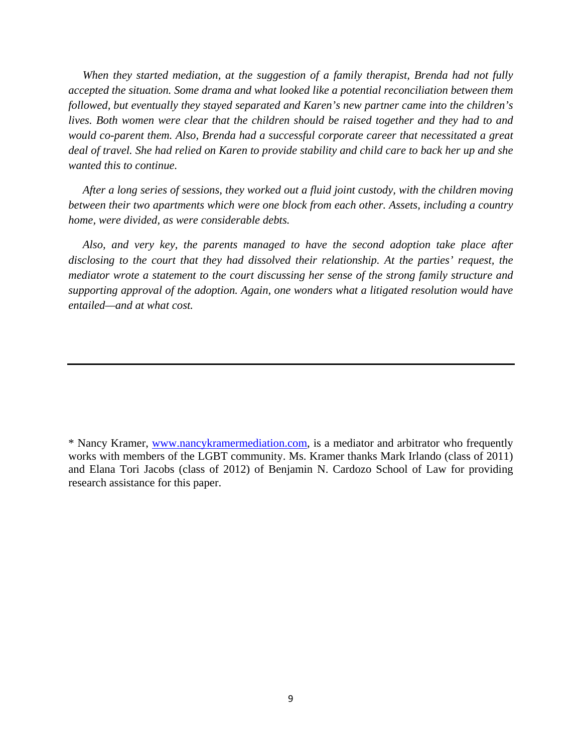*When they started mediation, at the suggestion of a family therapist, Brenda had not fully accepted the situation. Some drama and what looked like a potential reconciliation between them followed, but eventually they stayed separated and Karen's new partner came into the children's*  lives. Both women were clear that the children should be raised together and they had to and *would co-parent them. Also, Brenda had a successful corporate career that necessitated a great deal of travel. She had relied on Karen to provide stability and child care to back her up and she wanted this to continue.* 

 *After a long series of sessions, they worked out a fluid joint custody, with the children moving between their two apartments which were one block from each other. Assets, including a country home, were divided, as were considerable debts.* 

 *Also, and very key, the parents managed to have the second adoption take place after disclosing to the court that they had dissolved their relationship. At the parties' request, the mediator wrote a statement to the court discussing her sense of the strong family structure and supporting approval of the adoption. Again, one wonders what a litigated resolution would have entailed—and at what cost.* 

<sup>\*</sup> Nancy Kramer, www.nancykramermediation.com, is a mediator and arbitrator who frequently works with members of the LGBT community. Ms. Kramer thanks Mark Irlando (class of 2011) and Elana Tori Jacobs (class of 2012) of Benjamin N. Cardozo School of Law for providing research assistance for this paper.